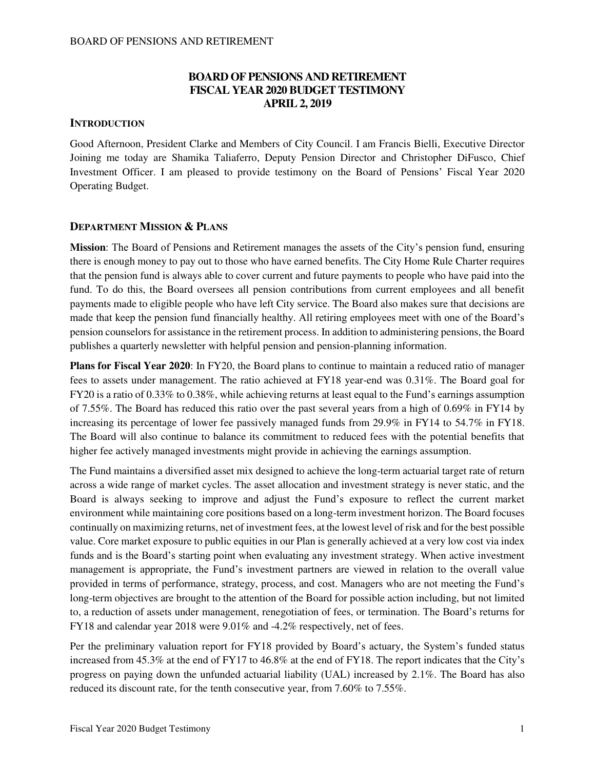## **BOARD OF PENSIONS AND RETIREMENT FISCAL YEAR 2020 BUDGET TESTIMONY APRIL 2, 2019**

### **INTRODUCTION**

Good Afternoon, President Clarke and Members of City Council. I am Francis Bielli, Executive Director Joining me today are Shamika Taliaferro, Deputy Pension Director and Christopher DiFusco, Chief Investment Officer. I am pleased to provide testimony on the Board of Pensions' Fiscal Year 2020 Operating Budget.

### **DEPARTMENT MISSION & PLANS**

**Mission**: The Board of Pensions and Retirement manages the assets of the City's pension fund, ensuring there is enough money to pay out to those who have earned benefits. The City Home Rule Charter requires that the pension fund is always able to cover current and future payments to people who have paid into the fund. To do this, the Board oversees all pension contributions from current employees and all benefit payments made to eligible people who have left City service. The Board also makes sure that decisions are made that keep the pension fund financially healthy. All retiring employees meet with one of the Board's pension counselors for assistance in the retirement process. In addition to administering pensions, the Board publishes a quarterly newsletter with helpful pension and pension-planning information.

**Plans for Fiscal Year 2020**: In FY20, the Board plans to continue to maintain a reduced ratio of manager fees to assets under management. The ratio achieved at FY18 year-end was 0.31%. The Board goal for FY20 is a ratio of 0.33% to 0.38%, while achieving returns at least equal to the Fund's earnings assumption of 7.55%. The Board has reduced this ratio over the past several years from a high of 0.69% in FY14 by increasing its percentage of lower fee passively managed funds from 29.9% in FY14 to 54.7% in FY18. The Board will also continue to balance its commitment to reduced fees with the potential benefits that higher fee actively managed investments might provide in achieving the earnings assumption.

The Fund maintains a diversified asset mix designed to achieve the long-term actuarial target rate of return across a wide range of market cycles. The asset allocation and investment strategy is never static, and the Board is always seeking to improve and adjust the Fund's exposure to reflect the current market environment while maintaining core positions based on a long-term investment horizon. The Board focuses continually on maximizing returns, net of investment fees, at the lowest level of risk and for the best possible value. Core market exposure to public equities in our Plan is generally achieved at a very low cost via index funds and is the Board's starting point when evaluating any investment strategy. When active investment management is appropriate, the Fund's investment partners are viewed in relation to the overall value provided in terms of performance, strategy, process, and cost. Managers who are not meeting the Fund's long-term objectives are brought to the attention of the Board for possible action including, but not limited to, a reduction of assets under management, renegotiation of fees, or termination. The Board's returns for FY18 and calendar year 2018 were 9.01% and -4.2% respectively, net of fees.

Per the preliminary valuation report for FY18 provided by Board's actuary, the System's funded status increased from 45.3% at the end of FY17 to 46.8% at the end of FY18. The report indicates that the City's progress on paying down the unfunded actuarial liability (UAL) increased by 2.1%. The Board has also reduced its discount rate, for the tenth consecutive year, from 7.60% to 7.55%.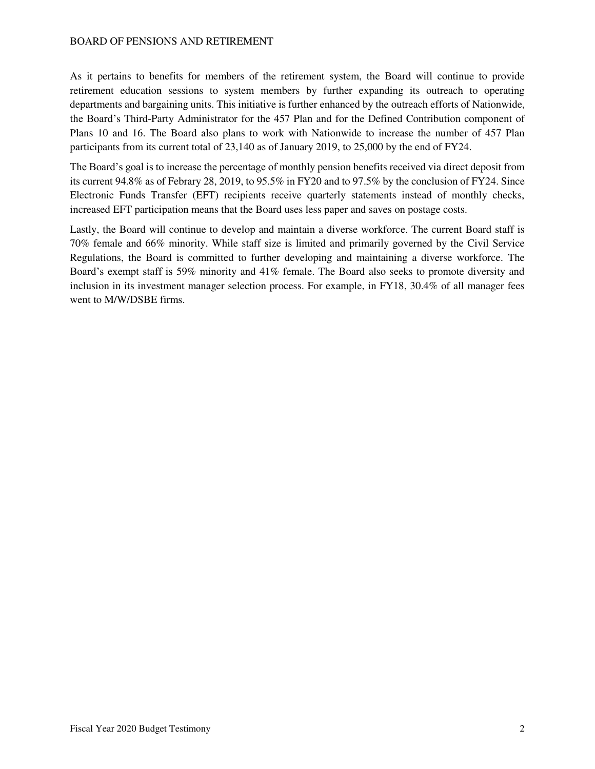As it pertains to benefits for members of the retirement system, the Board will continue to provide retirement education sessions to system members by further expanding its outreach to operating departments and bargaining units. This initiative is further enhanced by the outreach efforts of Nationwide, the Board's Third-Party Administrator for the 457 Plan and for the Defined Contribution component of Plans 10 and 16. The Board also plans to work with Nationwide to increase the number of 457 Plan participants from its current total of 23,140 as of January 2019, to 25,000 by the end of FY24.

The Board's goal is to increase the percentage of monthly pension benefits received via direct deposit from its current 94.8% as of Febrary 28, 2019, to 95.5% in FY20 and to 97.5% by the conclusion of FY24. Since Electronic Funds Transfer (EFT) recipients receive quarterly statements instead of monthly checks, increased EFT participation means that the Board uses less paper and saves on postage costs.

Lastly, the Board will continue to develop and maintain a diverse workforce. The current Board staff is 70% female and 66% minority. While staff size is limited and primarily governed by the Civil Service Regulations, the Board is committed to further developing and maintaining a diverse workforce. The Board's exempt staff is 59% minority and 41% female. The Board also seeks to promote diversity and inclusion in its investment manager selection process. For example, in FY18, 30.4% of all manager fees went to M/W/DSBE firms.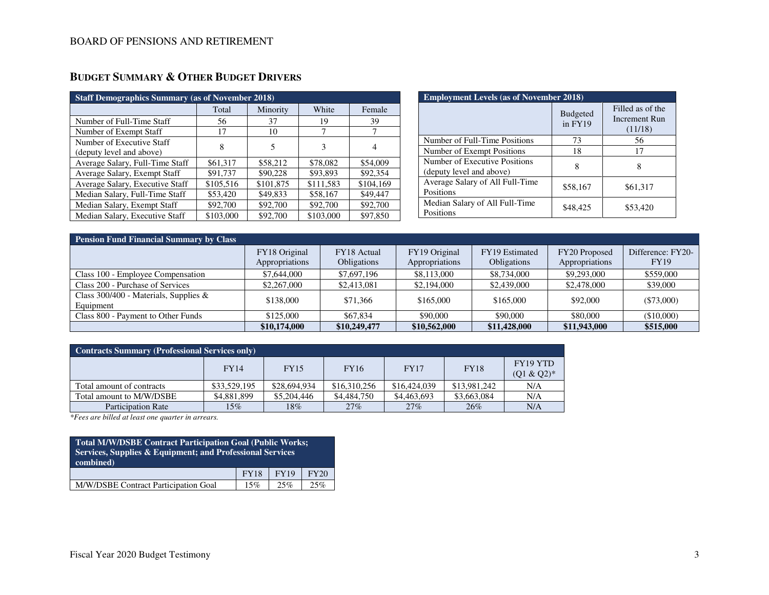| <b>Staff Demographics Summary (as of November 2018)</b> |           |           |           |           |  |  |  |  |  |
|---------------------------------------------------------|-----------|-----------|-----------|-----------|--|--|--|--|--|
|                                                         | Total     | Minority  | White     | Female    |  |  |  |  |  |
| Number of Full-Time Staff                               | 56        | 37        | 19        | 39        |  |  |  |  |  |
| Number of Exempt Staff                                  | 17        | 10        | 7         |           |  |  |  |  |  |
| Number of Executive Staff<br>(deputy level and above)   | 8         | 5         | 3         | 4         |  |  |  |  |  |
| Average Salary, Full-Time Staff                         | \$61,317  | \$58,212  | \$78,082  | \$54,009  |  |  |  |  |  |
| Average Salary, Exempt Staff                            | \$91,737  | \$90,228  | \$93,893  | \$92,354  |  |  |  |  |  |
| Average Salary, Executive Staff                         | \$105,516 | \$101,875 | \$111,583 | \$104,169 |  |  |  |  |  |
| Median Salary, Full-Time Staff                          | \$53,420  | \$49,833  | \$58,167  | \$49,447  |  |  |  |  |  |
| Median Salary, Exempt Staff                             | \$92,700  | \$92,700  | \$92,700  | \$92,700  |  |  |  |  |  |
| Median Salary, Executive Staff                          | \$103,000 | \$92,700  | \$103,000 | \$97,850  |  |  |  |  |  |

| <b>Employment Levels (as of November 2018)</b>            |                              |                                              |  |  |  |  |  |  |
|-----------------------------------------------------------|------------------------------|----------------------------------------------|--|--|--|--|--|--|
|                                                           | <b>Budgeted</b><br>$in$ FY19 | Filled as of the<br>Increment Run<br>(11/18) |  |  |  |  |  |  |
| Number of Full-Time Positions                             | 73                           | 56                                           |  |  |  |  |  |  |
| Number of Exempt Positions                                | 18                           | 17                                           |  |  |  |  |  |  |
| Number of Executive Positions<br>(deputy level and above) | 8                            | 8                                            |  |  |  |  |  |  |
| Average Salary of All Full-Time<br>Positions              | \$58,167                     | \$61,317                                     |  |  |  |  |  |  |
| Median Salary of All Full-Time<br>Positions               | \$48,425                     | \$53,420                                     |  |  |  |  |  |  |

| <b>Pension Fund Financial Summary by Class</b> |                |                    |                |                    |                |                   |  |  |  |  |  |
|------------------------------------------------|----------------|--------------------|----------------|--------------------|----------------|-------------------|--|--|--|--|--|
|                                                | FY18 Original  | FY18 Actual        | FY19 Original  | FY19 Estimated     | FY20 Proposed  | Difference: FY20- |  |  |  |  |  |
|                                                | Appropriations | <b>Obligations</b> | Appropriations | <b>Obligations</b> | Appropriations | <b>FY19</b>       |  |  |  |  |  |
| Class 100 - Employee Compensation              | \$7,644,000    | \$7,697,196        | \$8,113,000    | \$8,734,000        | \$9,293,000    | \$559,000         |  |  |  |  |  |
| Class 200 - Purchase of Services               | \$2,267,000    | \$2,413,081        | \$2,194,000    | \$2,439,000        | \$2,478,000    | \$39,000          |  |  |  |  |  |
| Class 300/400 - Materials, Supplies &          | \$138,000      | \$71,366           | \$165,000      | \$165,000          | \$92,000       | $(\$73,000)$      |  |  |  |  |  |
| Equipment                                      |                |                    |                |                    |                |                   |  |  |  |  |  |
| Class 800 - Payment to Other Funds             | \$125,000      | \$67,834           | \$90,000       | \$90,000           | \$80,000       | (\$10,000)        |  |  |  |  |  |
|                                                | \$10,174,000   | \$10,249,477       | \$10,562,000   | \$11,428,000       | \$11,943,000   | \$515,000         |  |  |  |  |  |

| <b>Contracts Summary (Professional Services only)</b> |              |              |              |              |              |                          |  |  |  |
|-------------------------------------------------------|--------------|--------------|--------------|--------------|--------------|--------------------------|--|--|--|
|                                                       | <b>FY14</b>  | <b>FY15</b>  | <b>FY16</b>  | <b>FY17</b>  | <b>FY18</b>  | FY19 YTD<br>$(Q1 & Q2)*$ |  |  |  |
| Total amount of contracts                             | \$33,529,195 | \$28,694,934 | \$16,310,256 | \$16,424,039 | \$13,981,242 | N/A                      |  |  |  |
| Total amount to M/W/DSBE                              | \$4,881,899  | \$5,204,446  | \$4,484,750  | \$4,463,693  | \$3,663,084  | N/A                      |  |  |  |
| <b>Participation Rate</b>                             | 15%          | $18\%$       | 27%          | $27\%$       | 26%          | N/A                      |  |  |  |

*\*Fees are billed at least one quarter in arrears.*

| <b>Total M/W/DSBE Contract Participation Goal (Public Works;</b><br>Services, Supplies & Equipment; and Professional Services<br>combined) |     |     |     |  |  |  |  |
|--------------------------------------------------------------------------------------------------------------------------------------------|-----|-----|-----|--|--|--|--|
| <b>FY18</b><br><b>FY19</b><br>FY20                                                                                                         |     |     |     |  |  |  |  |
| M/W/DSBE Contract Participation Goal                                                                                                       | 15% | 25% | 25% |  |  |  |  |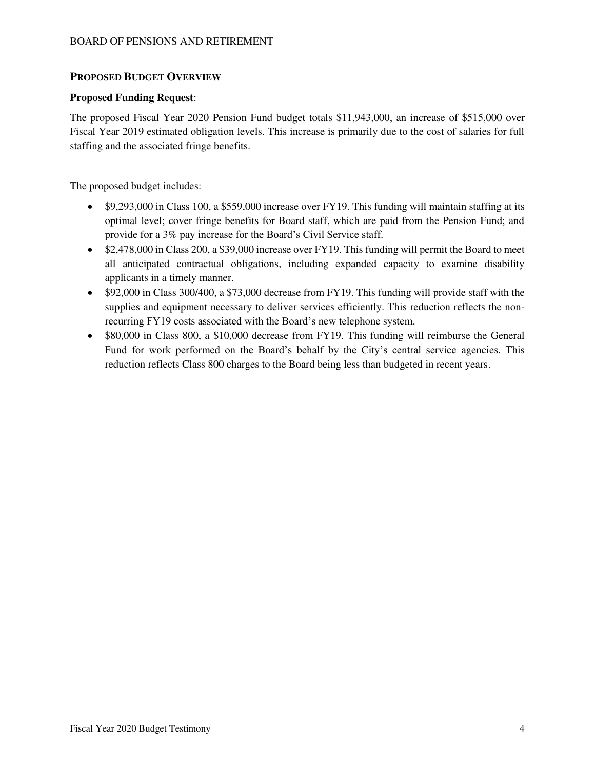### **PROPOSED BUDGET OVERVIEW**

### **Proposed Funding Request**:

The proposed Fiscal Year 2020 Pension Fund budget totals \$11,943,000, an increase of \$515,000 over Fiscal Year 2019 estimated obligation levels. This increase is primarily due to the cost of salaries for full staffing and the associated fringe benefits.

The proposed budget includes:

- \$9,293,000 in Class 100, a \$559,000 increase over FY19. This funding will maintain staffing at its optimal level; cover fringe benefits for Board staff, which are paid from the Pension Fund; and provide for a 3% pay increase for the Board's Civil Service staff.
- \$2,478,000 in Class 200, a \$39,000 increase over FY19. This funding will permit the Board to meet all anticipated contractual obligations, including expanded capacity to examine disability applicants in a timely manner.
- \$92,000 in Class 300/400, a \$73,000 decrease from FY19. This funding will provide staff with the supplies and equipment necessary to deliver services efficiently. This reduction reflects the nonrecurring FY19 costs associated with the Board's new telephone system.
- \$80,000 in Class 800, a \$10,000 decrease from FY19. This funding will reimburse the General Fund for work performed on the Board's behalf by the City's central service agencies. This reduction reflects Class 800 charges to the Board being less than budgeted in recent years.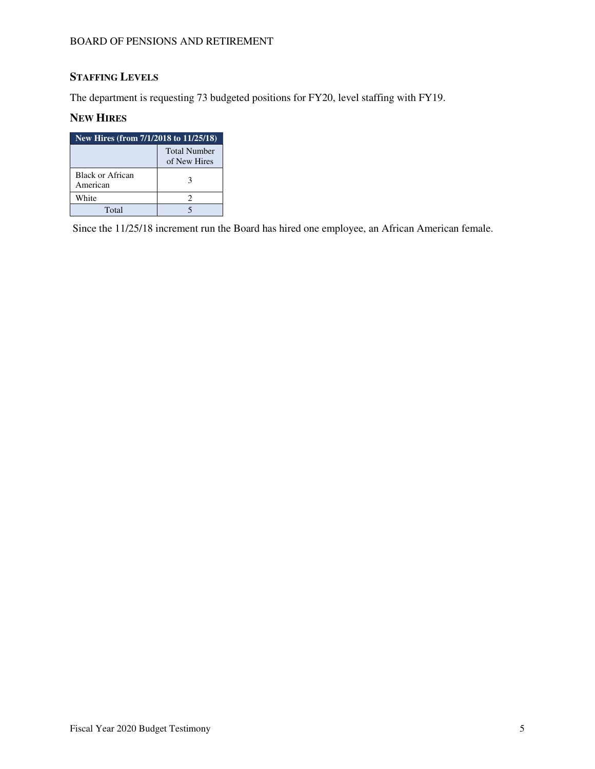# **STAFFING LEVELS**

The department is requesting 73 budgeted positions for FY20, level staffing with FY19.

### **NEW HIRES**

| New Hires (from 7/1/2018 to 11/25/18) |                                     |  |  |  |  |  |
|---------------------------------------|-------------------------------------|--|--|--|--|--|
|                                       | <b>Total Number</b><br>of New Hires |  |  |  |  |  |
| Black or African<br>American          | 3                                   |  |  |  |  |  |
| White                                 |                                     |  |  |  |  |  |
| Total                                 |                                     |  |  |  |  |  |

Since the 11/25/18 increment run the Board has hired one employee, an African American female.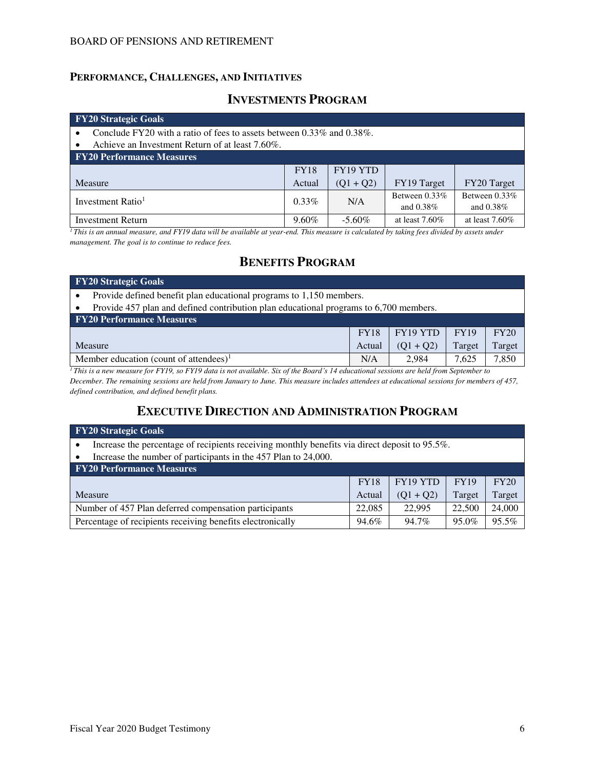### **PERFORMANCE, CHALLENGES, AND INITIATIVES**

## **INVESTMENTS PROGRAM**

#### **FY20 Strategic Goals**

- Conclude FY20 with a ratio of fees to assets between 0.33% and 0.38%.
- Achieve an Investment Return of at least 7.60%.

| <b>FY20 Performance Measures</b> |             |             |                   |                   |  |  |  |  |  |
|----------------------------------|-------------|-------------|-------------------|-------------------|--|--|--|--|--|
|                                  | <b>FY18</b> | FY19 YTD    |                   |                   |  |  |  |  |  |
| Measure                          | Actual      | $(01 + 02)$ | FY19 Target       | FY20 Target       |  |  |  |  |  |
| Investment Ratio <sup>1</sup>    | $0.33\%$    | N/A         | Between $0.33\%$  | Between $0.33\%$  |  |  |  |  |  |
|                                  |             |             | and $0.38\%$      | and $0.38\%$      |  |  |  |  |  |
| <b>Investment Return</b>         | $9.60\%$    | $-5.60\%$   | at least $7.60\%$ | at least $7.60\%$ |  |  |  |  |  |

<sup>*1</sup>This is an annual measure, and FY19 data will be available at year-end. This measure is calculated by taking fees divided by assets under*</sup> *management. The goal is to continue to reduce fees.* 

## **BENEFITS PROGRAM**

| <b>FY20 Strategic Goals</b>                                                                                                                                                        |                                                                     |                                                             |                   |        |  |  |  |  |  |
|------------------------------------------------------------------------------------------------------------------------------------------------------------------------------------|---------------------------------------------------------------------|-------------------------------------------------------------|-------------------|--------|--|--|--|--|--|
|                                                                                                                                                                                    | Provide defined benefit plan educational programs to 1,150 members. |                                                             |                   |        |  |  |  |  |  |
| Provide 457 plan and defined contribution plan educational programs to 6,700 members.                                                                                              |                                                                     |                                                             |                   |        |  |  |  |  |  |
| <b>FY20 Performance Measures</b>                                                                                                                                                   |                                                                     |                                                             |                   |        |  |  |  |  |  |
| FY20<br>FY19 YTD<br><b>FY19</b><br><b>FY18</b>                                                                                                                                     |                                                                     |                                                             |                   |        |  |  |  |  |  |
| Measure                                                                                                                                                                            | Actual                                                              | $(Q1 + Q2)$                                                 | Target            | Target |  |  |  |  |  |
| Member education (count of attendees) <sup>1</sup>                                                                                                                                 | N/A                                                                 | 2.984                                                       | 7.625             | 7,850  |  |  |  |  |  |
| $-$<br>$\mathbf{1}$ $\mathbf{1}$ $\mathbf{1}$ $\mathbf{1}$ $\mathbf{1}$<br>$\sim$<br>$c_{\cdot}$ n<br>$c = \pi r r r \Omega$<br>T111011<br>$\cdot$ $\cdot$ $\cdot$ $\cdot$ $\cdot$ | $\sim$ $\sim$                                                       | $\overline{1}$ $\overline{1}$ $\overline{1}$ $\overline{1}$ | $\alpha$ $\alpha$ |        |  |  |  |  |  |

*<sup>1</sup>This is a new measure for FY19, so FY19 data is not available. Six of the Board's 14 educational sessions are held from September to December. The remaining sessions are held from January to June. This measure includes attendees at educational sessions for members of 457, defined contribution, and defined benefit plans.* 

## **EXECUTIVE DIRECTION AND ADMINISTRATION PROGRAM**

| <b>FY20 Strategic Goals</b>                                                                   |                                                |             |        |        |  |  |  |  |
|-----------------------------------------------------------------------------------------------|------------------------------------------------|-------------|--------|--------|--|--|--|--|
| Increase the percentage of recipients receiving monthly benefits via direct deposit to 95.5%. |                                                |             |        |        |  |  |  |  |
| Increase the number of participants in the 457 Plan to 24,000.                                |                                                |             |        |        |  |  |  |  |
| <b>FY20 Performance Measures</b>                                                              |                                                |             |        |        |  |  |  |  |
|                                                                                               | FY19 YTD<br><b>FY19</b><br>FY20<br><b>FY18</b> |             |        |        |  |  |  |  |
| Measure                                                                                       | Actual                                         | $(Q1 + Q2)$ | Target | Target |  |  |  |  |
| Number of 457 Plan deferred compensation participants                                         | 22,085                                         | 22.995      | 22,500 | 24,000 |  |  |  |  |
| Percentage of recipients receiving benefits electronically                                    | 94.6%                                          | 94.7%       | 95.0%  | 95.5%  |  |  |  |  |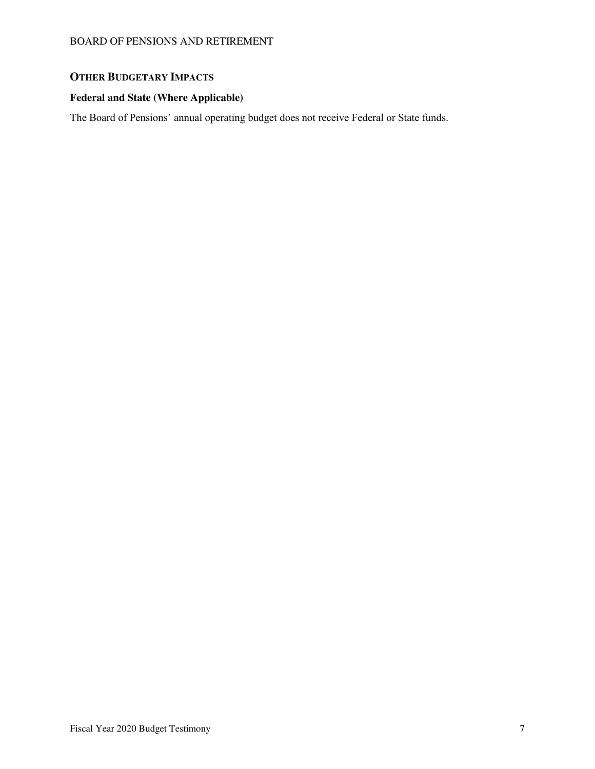## **OTHER BUDGETARY IMPACTS**

## **Federal and State (Where Applicable)**

The Board of Pensions' annual operating budget does not receive Federal or State funds.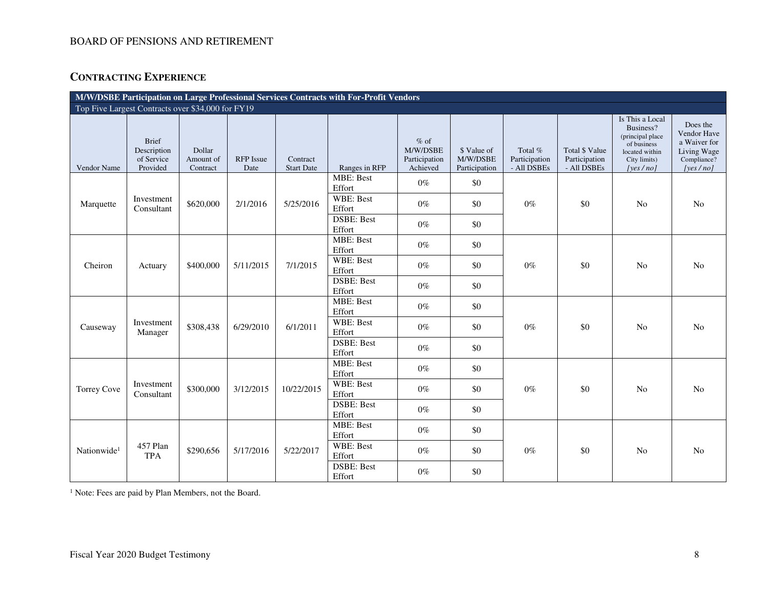# **CONTRACTING EXPERIENCE**

| M/W/DSBE Participation on Large Professional Services Contracts with For-Profit Vendors |                                                       |                                 |                   |                               |                             |                                                 |                                          |                                         |                                                |                                                                                                               |                                                                                   |
|-----------------------------------------------------------------------------------------|-------------------------------------------------------|---------------------------------|-------------------|-------------------------------|-----------------------------|-------------------------------------------------|------------------------------------------|-----------------------------------------|------------------------------------------------|---------------------------------------------------------------------------------------------------------------|-----------------------------------------------------------------------------------|
|                                                                                         | Top Five Largest Contracts over \$34,000 for FY19     |                                 |                   |                               |                             |                                                 |                                          |                                         |                                                |                                                                                                               |                                                                                   |
| Vendor Name                                                                             | <b>Brief</b><br>Description<br>of Service<br>Provided | Dollar<br>Amount of<br>Contract | RFP Issue<br>Date | Contract<br><b>Start Date</b> | Ranges in RFP               | $%$ of<br>M/W/DSBE<br>Participation<br>Achieved | \$ Value of<br>M/W/DSBE<br>Participation | Total %<br>Participation<br>- All DSBEs | Total \$ Value<br>Participation<br>- All DSBEs | Is This a Local<br>Business?<br>(principal place<br>of business<br>located within<br>City limits)<br>[yes/no] | Does the<br>Vendor Have<br>a Waiver for<br>Living Wage<br>Compliance?<br>[yes/no] |
|                                                                                         |                                                       |                                 |                   |                               | <b>MBE: Best</b><br>Effort  | $0\%$                                           | $\$0$                                    |                                         |                                                |                                                                                                               |                                                                                   |
| Marquette                                                                               | Investment<br>Consultant                              | \$620,000                       | 2/1/2016          | 5/25/2016                     | WBE: Best<br>Effort         | $0\%$                                           | \$0                                      | $0\%$                                   | \$0                                            | N <sub>o</sub>                                                                                                | N <sub>o</sub>                                                                    |
|                                                                                         |                                                       |                                 |                   |                               | <b>DSBE: Best</b><br>Effort | $0\%$                                           | \$0                                      |                                         |                                                |                                                                                                               |                                                                                   |
|                                                                                         |                                                       |                                 |                   |                               | <b>MBE: Best</b><br>Effort  | $0\%$                                           | \$0                                      |                                         |                                                |                                                                                                               |                                                                                   |
| Cheiron                                                                                 | Actuary                                               | \$400,000                       | 5/11/2015         | 7/1/2015                      | WBE: Best<br>Effort         | $0\%$                                           | \$0                                      | $0\%$                                   | \$0                                            | N <sub>o</sub>                                                                                                | N <sub>0</sub>                                                                    |
|                                                                                         |                                                       |                                 |                   |                               | <b>DSBE: Best</b><br>Effort | $0\%$                                           | \$0                                      |                                         |                                                |                                                                                                               |                                                                                   |
|                                                                                         |                                                       |                                 |                   |                               | <b>MBE: Best</b><br>Effort  | $0\%$                                           | \$0                                      |                                         |                                                |                                                                                                               |                                                                                   |
| Causeway                                                                                | Investment<br>Manager                                 | \$308,438                       | 6/29/2010         | 6/1/2011                      | WBE: Best<br>Effort         | $0\%$                                           | \$0                                      | $0\%$                                   | \$0                                            | N <sub>o</sub>                                                                                                | No                                                                                |
|                                                                                         |                                                       |                                 |                   |                               | <b>DSBE: Best</b><br>Effort | $0\%$                                           | \$0                                      |                                         |                                                |                                                                                                               |                                                                                   |
|                                                                                         |                                                       |                                 |                   |                               | <b>MBE: Best</b><br>Effort  | $0\%$                                           | \$0                                      |                                         |                                                |                                                                                                               |                                                                                   |
| <b>Torrey Cove</b>                                                                      | Investment<br>Consultant                              | \$300,000                       | 3/12/2015         | 10/22/2015                    | WBE: Best<br>Effort         | $0\%$                                           | \$0                                      | $0\%$                                   | \$0                                            | No                                                                                                            | N <sub>0</sub>                                                                    |
|                                                                                         |                                                       |                                 |                   |                               | <b>DSBE: Best</b><br>Effort | $0\%$                                           | \$0                                      |                                         |                                                |                                                                                                               |                                                                                   |
|                                                                                         |                                                       |                                 |                   |                               | <b>MBE: Best</b><br>Effort  | $0\%$                                           | \$0                                      |                                         |                                                |                                                                                                               |                                                                                   |
| Nationwide <sup>1</sup>                                                                 | 457 Plan<br><b>TPA</b>                                | \$290,656                       | 5/17/2016         | 5/22/2017                     | WBE: Best<br>Effort         | $0\%$                                           | \$0                                      | $0\%$                                   | \$0                                            | No                                                                                                            | No                                                                                |
|                                                                                         |                                                       |                                 |                   |                               | DSBE: Best<br>Effort        | $0\%$                                           | \$0                                      |                                         |                                                |                                                                                                               |                                                                                   |

<sup>1</sup> Note: Fees are paid by Plan Members, not the Board.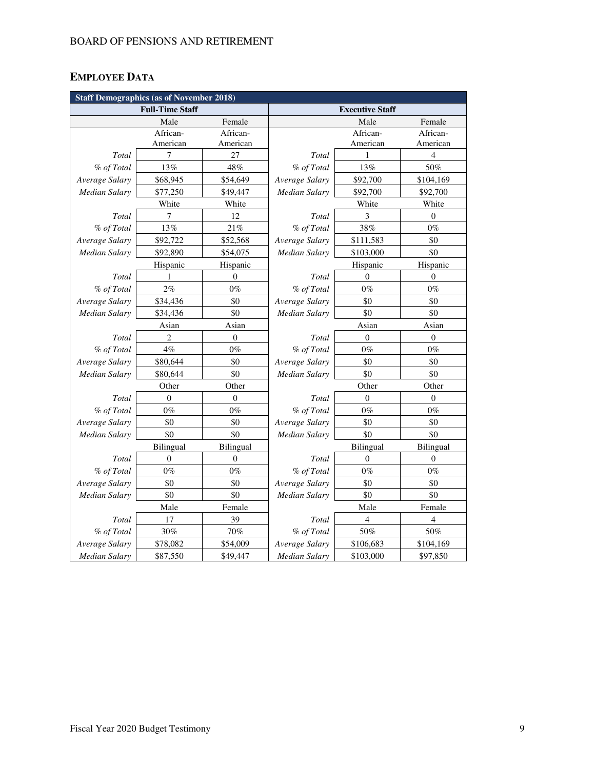# **EMPLOYEE DATA**

| <b>Staff Demographics (as of November 2018)</b> |                        |                  |                        |                  |                  |  |  |  |
|-------------------------------------------------|------------------------|------------------|------------------------|------------------|------------------|--|--|--|
|                                                 | <b>Full-Time Staff</b> |                  | <b>Executive Staff</b> |                  |                  |  |  |  |
|                                                 | Male                   | Female           |                        | Male             | Female           |  |  |  |
|                                                 | African-               | African-         |                        | African-         | African-         |  |  |  |
|                                                 | American               | American         |                        | American         | American         |  |  |  |
| Total                                           | 7                      | 27               | Total                  | 1                | 4                |  |  |  |
| % of Total                                      | 13%                    | 48%              | % of Total             | 13%              | 50%              |  |  |  |
| Average Salary                                  | \$68,945               | \$54,649         | Average Salary         | \$92,700         | \$104,169        |  |  |  |
| <b>Median Salary</b>                            | \$77,250               | \$49,447         | <b>Median Salary</b>   | \$92,700         | \$92,700         |  |  |  |
|                                                 | White                  | White            |                        | White            | White            |  |  |  |
| Total                                           | 7                      | 12               | Total                  | 3                | $\mathbf{0}$     |  |  |  |
| % of Total                                      | 13%                    | 21%              | % of Total             | 38%              | $0\%$            |  |  |  |
| Average Salary                                  | \$92,722               | \$52,568         | Average Salary         | \$111,583        | \$0              |  |  |  |
| Median Salary                                   | \$92,890               | \$54,075         | Median Salary          | \$103,000        | \$0              |  |  |  |
|                                                 | Hispanic               | Hispanic         |                        | Hispanic         | Hispanic         |  |  |  |
| Total                                           | 1                      | $\theta$         | Total                  | $\theta$         | $\mathbf{0}$     |  |  |  |
| % of Total                                      | 2%                     | $0\%$            | % of Total             | $0\%$            | $0\%$            |  |  |  |
| Average Salary                                  | \$34,436               | \$0              | Average Salary         | \$0              | \$0              |  |  |  |
| <b>Median Salary</b>                            | \$34,436               | \$0              | <b>Median Salary</b>   | \$0              | \$0              |  |  |  |
|                                                 | Asian                  | Asian            |                        | Asian            | Asian            |  |  |  |
| Total                                           | 2                      | $\boldsymbol{0}$ | Total                  | $\boldsymbol{0}$ | $\boldsymbol{0}$ |  |  |  |
| % of Total                                      | 4%                     | $0\%$            | % of Total             | $0\%$            | $0\%$            |  |  |  |
| Average Salary                                  | \$80,644               | \$0              | Average Salary         | \$0              | \$0              |  |  |  |
| <b>Median Salary</b>                            | \$80,644               | \$0              | Median Salary          | \$0              | \$0              |  |  |  |
|                                                 | Other                  | Other            |                        | Other            | Other            |  |  |  |
| Total                                           | $\overline{0}$         | $\mathbf{0}$     | Total                  | $\theta$         | $\mathbf{0}$     |  |  |  |
| % of Total                                      | $0\%$                  | $0\%$            | % of Total             | $0\%$            | $0\%$            |  |  |  |
| Average Salary                                  | \$0                    | \$0              | Average Salary         | \$0              | \$0              |  |  |  |
| <b>Median Salary</b>                            | \$0                    | \$0              | Median Salary          | \$0              | \$0              |  |  |  |
|                                                 | Bilingual              | Bilingual        |                        | Bilingual        | Bilingual        |  |  |  |
| Total                                           | $\boldsymbol{0}$       | $\boldsymbol{0}$ | Total                  | $\boldsymbol{0}$ | $\boldsymbol{0}$ |  |  |  |
| % of Total                                      | $0\%$                  | $0\%$            | % of Total             | $0\%$            | $0\%$            |  |  |  |
| Average Salary                                  | \$0                    | \$0              | Average Salary         | \$0              | \$0              |  |  |  |
| <b>Median Salary</b>                            | \$0                    | \$0              | <b>Median Salary</b>   | \$0              | \$0              |  |  |  |
|                                                 | Male                   | Female           |                        | Male             | Female           |  |  |  |
| Total                                           | 17                     | 39               | Total                  | 4                | 4                |  |  |  |
| % of Total                                      | 30%                    | 70%              | % of Total             | 50%              | 50%              |  |  |  |
| Average Salary                                  | \$78,082               | \$54,009         | Average Salary         | \$106,683        | \$104,169        |  |  |  |
| <b>Median Salary</b>                            | \$87,550               | \$49,447         | <b>Median Salary</b>   | \$103,000        | \$97,850         |  |  |  |